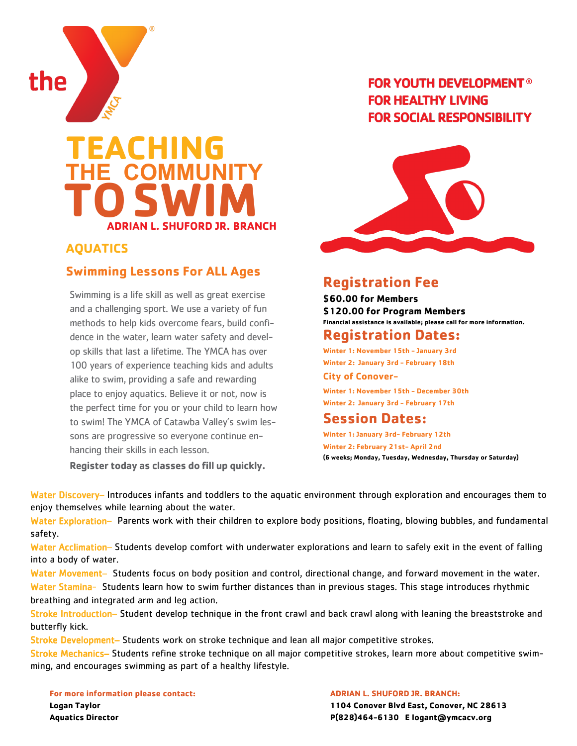

## **TEACHING THE COMMUNITY TO ADRIAN L. SHUFORD JR. BRANCH SWIM**

#### **AQUATICS**

#### **Swimming Lessons For ALL Ages**

Swimming is a life skill as well as great exercise and a challenging sport. We use a variety of fun methods to help kids overcome fears, build confidence in the water, learn water safety and develop skills that last a lifetime. The YMCA has over 100 years of experience teaching kids and adults alike to swim, providing a safe and rewarding place to enjoy aquatics. Believe it or not, now is the perfect time for you or your child to learn how to swim! The YMCA of Catawba Valley's swim lessons are progressive so everyone continue enhancing their skills in each lesson.

**Register today as classes do fill up quickly.**

### **FOR YOUTH DEVELOPMENT® FOR HEALTHY LIVING FOR SOCIAL RESPONSIBILITY**



## **Registration Fee**

**\$60.00 for Members \$120.00 for Program Members Financial assistance is available; please call for more information.**

#### **Registration Dates:**

**Winter 1: November 15th - January 3rd Winter 2: January 3rd - February 18th**

#### **City of Conover-**

**Winter 1: November 15th - December 30th Winter 2: January 3rd - February 17th**

#### **Session Dates:**

**Winter 1: January 3rd- February 12th Winter 2: February 21st- April 2nd (6 weeks; Monday, Tuesday, Wednesday, Thursday or Saturday)**

Water Discovery– Introduces infants and toddlers to the aquatic environment through exploration and encourages them to enjoy themselves while learning about the water.

Water Exploration– Parents work with their children to explore body positions, floating, blowing bubbles, and fundamental safety.

Water Acclimation– Students develop comfort with underwater explorations and learn to safely exit in the event of falling into a body of water.

Water Movement- Students focus on body position and control, directional change, and forward movement in the water. Water Stamina- Students learn how to swim further distances than in previous stages. This stage introduces rhythmic breathing and integrated arm and leg action.

Stroke Introduction– Student develop technique in the front crawl and back crawl along with leaning the breaststroke and butterfly kick.

Stroke Development– Students work on stroke technique and lean all major competitive strokes.

Stroke Mechanics– Students refine stroke technique on all major competitive strokes, learn more about competitive swimming, and encourages swimming as part of a healthy lifestyle.

**For more information please contact: Logan Taylor Aquatics Director**

**ADRIAN L. SHUFORD JR. BRANCH: 1104 Conover Blvd East, Conover, NC 28613 P(828)464-6130 E logant@ymcacv.org**